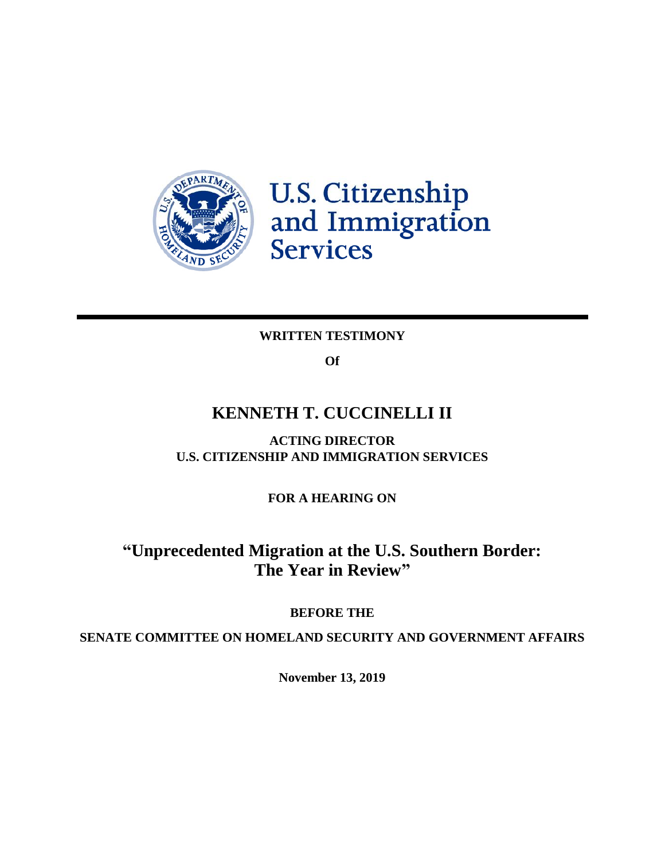

**U.S. Citizenship<br>and Immigration<br>Services** 

# **WRITTEN TESTIMONY**

**Of**

# **KENNETH T. CUCCINELLI II**

**ACTING DIRECTOR U.S. CITIZENSHIP AND IMMIGRATION SERVICES**

**FOR A HEARING ON**

# **"Unprecedented Migration at the U.S. Southern Border: The Year in Review"**

# **BEFORE THE**

**SENATE COMMITTEE ON HOMELAND SECURITY AND GOVERNMENT AFFAIRS**

**November 13, 2019**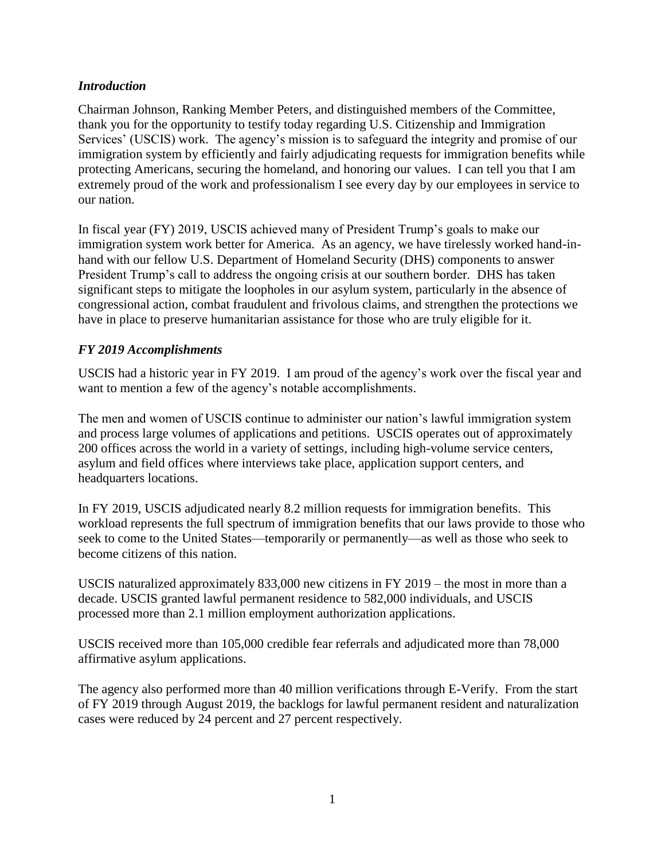#### *Introduction*

Chairman Johnson, Ranking Member Peters, and distinguished members of the Committee, thank you for the opportunity to testify today regarding U.S. Citizenship and Immigration Services' (USCIS) work. The agency's mission is to safeguard the integrity and promise of our immigration system by efficiently and fairly adjudicating requests for immigration benefits while protecting Americans, securing the homeland, and honoring our values. I can tell you that I am extremely proud of the work and professionalism I see every day by our employees in service to our nation.

In fiscal year (FY) 2019, USCIS achieved many of President Trump's goals to make our immigration system work better for America. As an agency, we have tirelessly worked hand-inhand with our fellow U.S. Department of Homeland Security (DHS) components to answer President Trump's call to address the ongoing crisis at our southern border. DHS has taken significant steps to mitigate the loopholes in our asylum system, particularly in the absence of congressional action, combat fraudulent and frivolous claims, and strengthen the protections we have in place to preserve humanitarian assistance for those who are truly eligible for it.

# *FY 2019 Accomplishments*

USCIS had a historic year in FY 2019. I am proud of the agency's work over the fiscal year and want to mention a few of the agency's notable accomplishments.

The men and women of USCIS continue to administer our nation's lawful immigration system and process large volumes of applications and petitions. USCIS operates out of approximately 200 offices across the world in a variety of settings, including high-volume service centers, asylum and field offices where interviews take place, application support centers, and headquarters locations.

In FY 2019, USCIS adjudicated nearly 8.2 million requests for immigration benefits. This workload represents the full spectrum of immigration benefits that our laws provide to those who seek to come to the United States—temporarily or permanently—as well as those who seek to become citizens of this nation.

USCIS naturalized approximately 833,000 new citizens in FY 2019 – the most in more than a decade. USCIS granted lawful permanent residence to 582,000 individuals, and USCIS processed more than 2.1 million employment authorization applications.

USCIS received more than 105,000 credible fear referrals and adjudicated more than 78,000 affirmative asylum applications.

The agency also performed more than 40 million verifications through E-Verify. From the start of FY 2019 through August 2019, the backlogs for lawful permanent resident and naturalization cases were reduced by 24 percent and 27 percent respectively.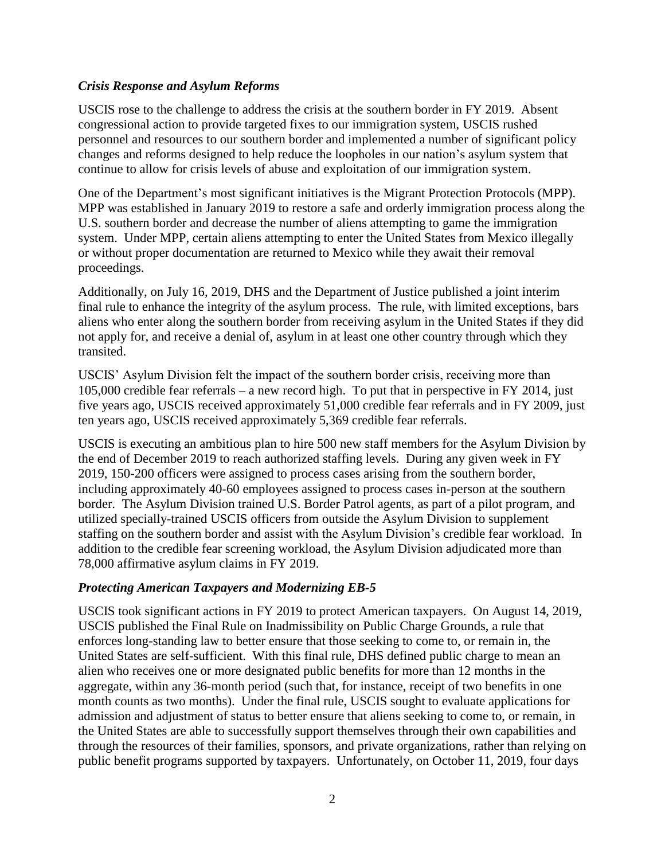#### *Crisis Response and Asylum Reforms*

USCIS rose to the challenge to address the crisis at the southern border in FY 2019. Absent congressional action to provide targeted fixes to our immigration system, USCIS rushed personnel and resources to our southern border and implemented a number of significant policy changes and reforms designed to help reduce the loopholes in our nation's asylum system that continue to allow for crisis levels of abuse and exploitation of our immigration system.

One of the Department's most significant initiatives is the Migrant Protection Protocols (MPP). MPP was established in January 2019 to restore a safe and orderly immigration process along the U.S. southern border and decrease the number of aliens attempting to game the immigration system. Under MPP, certain aliens attempting to enter the United States from Mexico illegally or without proper documentation are returned to Mexico while they await their removal proceedings.

Additionally, on July 16, 2019, DHS and the Department of Justice published a joint interim final rule to enhance the integrity of the asylum process. The rule, with limited exceptions, bars aliens who enter along the southern border from receiving asylum in the United States if they did not apply for, and receive a denial of, asylum in at least one other country through which they transited.

USCIS' Asylum Division felt the impact of the southern border crisis, receiving more than 105,000 credible fear referrals – a new record high. To put that in perspective in FY 2014, just five years ago, USCIS received approximately 51,000 credible fear referrals and in FY 2009, just ten years ago, USCIS received approximately 5,369 credible fear referrals.

USCIS is executing an ambitious plan to hire 500 new staff members for the Asylum Division by the end of December 2019 to reach authorized staffing levels. During any given week in FY 2019, 150-200 officers were assigned to process cases arising from the southern border, including approximately 40-60 employees assigned to process cases in-person at the southern border. The Asylum Division trained U.S. Border Patrol agents, as part of a pilot program, and utilized specially-trained USCIS officers from outside the Asylum Division to supplement staffing on the southern border and assist with the Asylum Division's credible fear workload. In addition to the credible fear screening workload, the Asylum Division adjudicated more than 78,000 affirmative asylum claims in FY 2019.

# *Protecting American Taxpayers and Modernizing EB-5*

USCIS took significant actions in FY 2019 to protect American taxpayers. On August 14, 2019, USCIS published the Final Rule on Inadmissibility on Public Charge Grounds, a rule that enforces long-standing law to better ensure that those seeking to come to, or remain in, the United States are self-sufficient. With this final rule, DHS defined public charge to mean an alien who receives one or more designated public benefits for more than 12 months in the aggregate, within any 36-month period (such that, for instance, receipt of two benefits in one month counts as two months). Under the final rule, USCIS sought to evaluate applications for admission and adjustment of status to better ensure that aliens seeking to come to, or remain, in the United States are able to successfully support themselves through their own capabilities and through the resources of their families, sponsors, and private organizations, rather than relying on public benefit programs supported by taxpayers. Unfortunately, on October 11, 2019, four days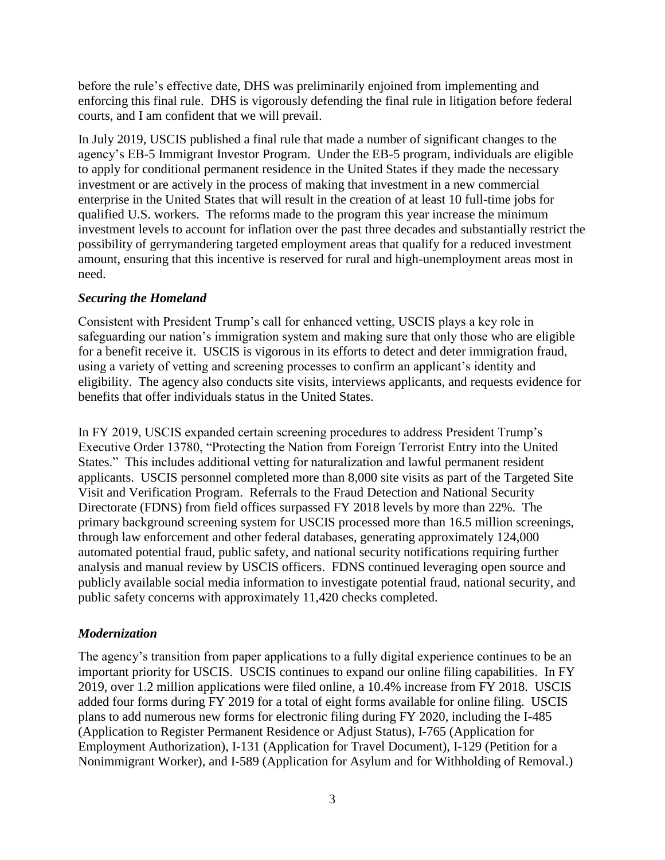before the rule's effective date, DHS was preliminarily enjoined from implementing and enforcing this final rule. DHS is vigorously defending the final rule in litigation before federal courts, and I am confident that we will prevail.

In July 2019, USCIS published a final rule that made a number of significant changes to the agency's EB-5 Immigrant Investor Program. Under the EB-5 program, individuals are eligible to apply for conditional permanent residence in the United States if they made the necessary investment or are actively in the process of making that investment in a new commercial enterprise in the United States that will result in the creation of at least 10 full-time jobs for qualified U.S. workers. The reforms made to the program this year increase the minimum investment levels to account for inflation over the past three decades and substantially restrict the possibility of gerrymandering targeted employment areas that qualify for a reduced investment amount, ensuring that this incentive is reserved for rural and high-unemployment areas most in need.

# *Securing the Homeland*

Consistent with President Trump's call for enhanced vetting, USCIS plays a key role in safeguarding our nation's immigration system and making sure that only those who are eligible for a benefit receive it. USCIS is vigorous in its efforts to detect and deter immigration fraud, using a variety of vetting and screening processes to confirm an applicant's identity and eligibility. The agency also conducts site visits, interviews applicants, and requests evidence for benefits that offer individuals status in the United States.

In FY 2019, USCIS expanded certain screening procedures to address President Trump's Executive Order 13780, "Protecting the Nation from Foreign Terrorist Entry into the United States." This includes additional vetting for naturalization and lawful permanent resident applicants. USCIS personnel completed more than 8,000 site visits as part of the Targeted Site Visit and Verification Program. Referrals to the Fraud Detection and National Security Directorate (FDNS) from field offices surpassed FY 2018 levels by more than 22%. The primary background screening system for USCIS processed more than 16.5 million screenings, through law enforcement and other federal databases, generating approximately 124,000 automated potential fraud, public safety, and national security notifications requiring further analysis and manual review by USCIS officers. FDNS continued leveraging open source and publicly available social media information to investigate potential fraud, national security, and public safety concerns with approximately 11,420 checks completed.

# *Modernization*

The agency's transition from paper applications to a fully digital experience continues to be an important priority for USCIS. USCIS continues to expand our online filing capabilities. In FY 2019, over 1.2 million applications were filed online, a 10.4% increase from FY 2018. USCIS added four forms during FY 2019 for a total of eight forms available for online filing. USCIS plans to add numerous new forms for electronic filing during FY 2020, including the I-485 (Application to Register Permanent Residence or Adjust Status), I-765 (Application for Employment Authorization), I-131 (Application for Travel Document), I-129 (Petition for a Nonimmigrant Worker), and I-589 (Application for Asylum and for Withholding of Removal.)